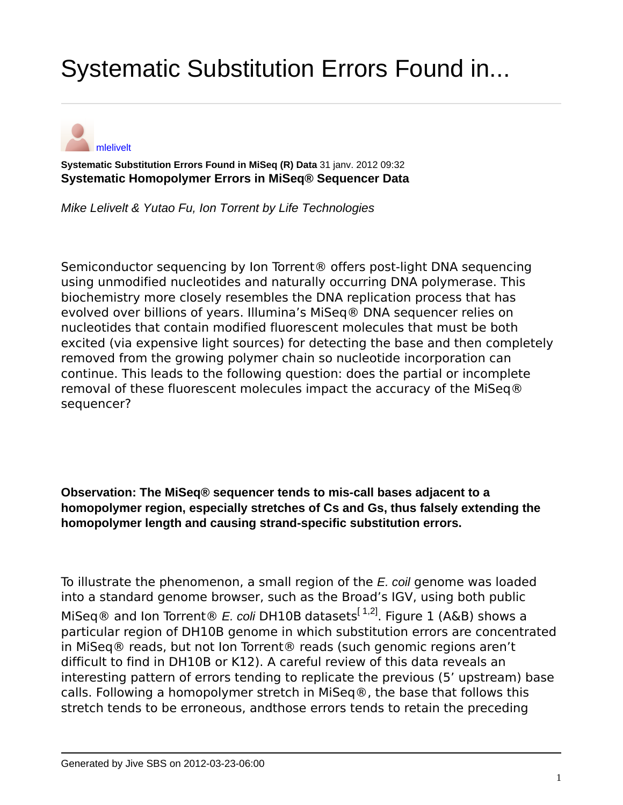

**Systematic Substitution Errors Found in MiSeq (R) Data** 31 janv. 2012 09:32 **Systematic Homopolymer Errors in MiSeq® Sequencer Data**

Mike Lelivelt & Yutao Fu, Ion Torrent by Life Technologies

Semiconductor sequencing by Ion Torrent® offers post-light DNA sequencing using unmodified nucleotides and naturally occurring DNA polymerase. This biochemistry more closely resembles the DNA replication process that has evolved over billions of years. Illumina's MiSeq® DNA sequencer relies on nucleotides that contain modified fluorescent molecules that must be both excited (via expensive light sources) for detecting the base and then completely removed from the growing polymer chain so nucleotide incorporation can continue. This leads to the following question: does the partial or incomplete removal of these fluorescent molecules impact the accuracy of the MiSeq® sequencer?

# **Observation: The MiSeq® sequencer tends to mis-call bases adjacent to a homopolymer region, especially stretches of Cs and Gs, thus falsely extending the homopolymer length and causing strand-specific substitution errors.**

To illustrate the phenomenon, a small region of the E. coil genome was loaded into a standard genome browser, such as the Broad's IGV, using both public MiSeq® and Ion Torrent® E. coli DH10B datasets<sup>[1,2]</sup>. Figure 1 (A&B) shows a particular region of DH10B genome in which substitution errors are concentrated in MiSeq® reads, but not Ion Torrent® reads (such genomic regions aren't difficult to find in DH10B or K12). A careful review of this data reveals an interesting pattern of errors tending to replicate the previous (5' upstream) base calls. Following a homopolymer stretch in MiSeq®, the base that follows this stretch tends to be erroneous, andthose errors tends to retain the preceding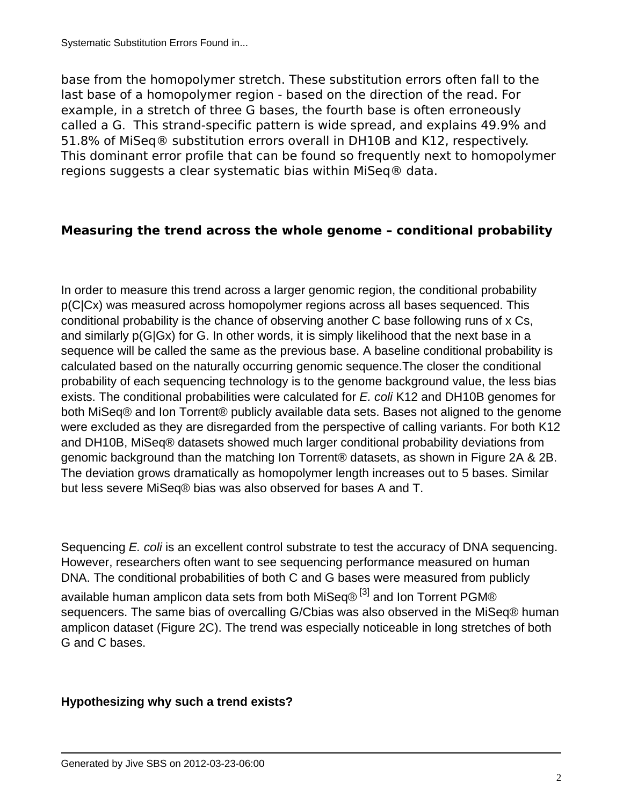base from the homopolymer stretch. These substitution errors often fall to the last base of a homopolymer region - based on the direction of the read. For example, in a stretch of three G bases, the fourth base is often erroneously called a G. This strand-specific pattern is wide spread, and explains 49.9% and 51.8% of MiSeq® substitution errors overall in DH10B and K12, respectively. This dominant error profile that can be found so frequently next to homopolymer regions suggests a clear systematic bias within MiSeq® data.

# **Measuring the trend across the whole genome – conditional probability**

In order to measure this trend across a larger genomic region, the conditional probability p(C|Cx) was measured across homopolymer regions across all bases sequenced. This conditional probability is the chance of observing another C base following runs of x Cs, and similarly p(G|Gx) for G. In other words, it is simply likelihood that the next base in a sequence will be called the same as the previous base. A baseline conditional probability is calculated based on the naturally occurring genomic sequence.The closer the conditional probability of each sequencing technology is to the genome background value, the less bias exists. The conditional probabilities were calculated for E. coli K12 and DH10B genomes for both MiSeq® and Ion Torrent® publicly available data sets. Bases not aligned to the genome were excluded as they are disregarded from the perspective of calling variants. For both K12 and DH10B, MiSeq® datasets showed much larger conditional probability deviations from genomic background than the matching Ion Torrent® datasets, as shown in Figure 2A & 2B. The deviation grows dramatically as homopolymer length increases out to 5 bases. Similar but less severe MiSeq® bias was also observed for bases A and T.

Sequencing E. coli is an excellent control substrate to test the accuracy of DNA sequencing. However, researchers often want to see sequencing performance measured on human DNA. The conditional probabilities of both C and G bases were measured from publicly available human amplicon data sets from both MiSeq®<sup>[3]</sup> and Ion Torrent PGM® sequencers. The same bias of overcalling G/Cbias was also observed in the MiSeq® human amplicon dataset (Figure 2C). The trend was especially noticeable in long stretches of both G and C bases.

# **Hypothesizing why such a trend exists?**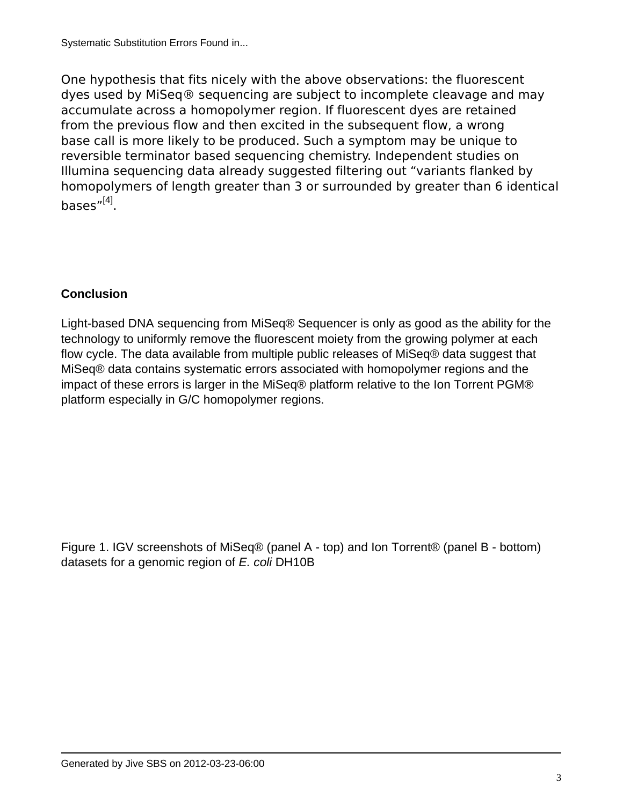One hypothesis that fits nicely with the above observations: the fluorescent dyes used by MiSeq® sequencing are subject to incomplete cleavage and may accumulate across a homopolymer region. If fluorescent dyes are retained from the previous flow and then excited in the subsequent flow, a wrong base call is more likely to be produced. Such a symptom may be unique to reversible terminator based sequencing chemistry. Independent studies on Illumina sequencing data already suggested filtering out "variants flanked by homopolymers of length greater than 3 or surrounded by greater than 6 identical bases"<sup>[4]</sup>.

# **Conclusion**

Light-based DNA sequencing from MiSeq® Sequencer is only as good as the ability for the technology to uniformly remove the fluorescent moiety from the growing polymer at each flow cycle. The data available from multiple public releases of MiSeq® data suggest that MiSeq® data contains systematic errors associated with homopolymer regions and the impact of these errors is larger in the MiSeq® platform relative to the Ion Torrent PGM® platform especially in G/C homopolymer regions.

Figure 1. IGV screenshots of MiSeq® (panel A - top) and Ion Torrent® (panel B - bottom) datasets for a genomic region of E. coli DH10B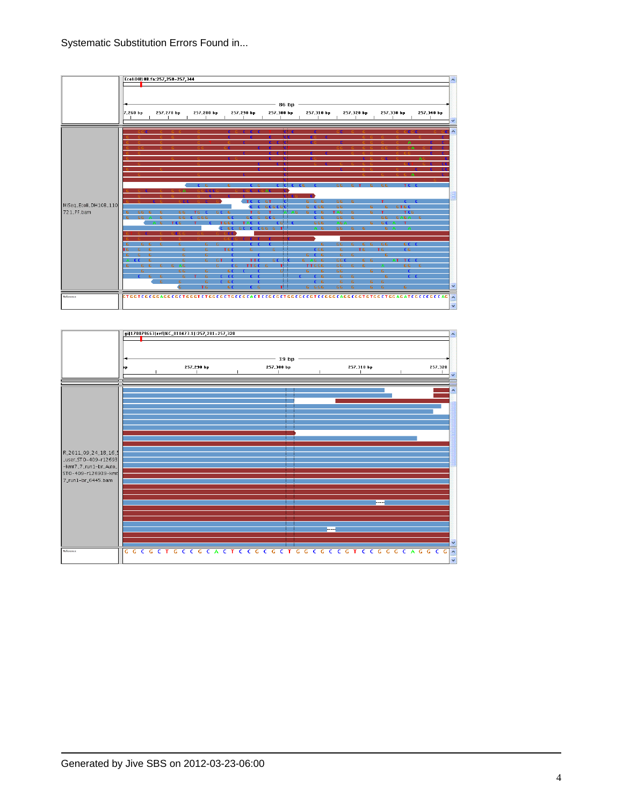

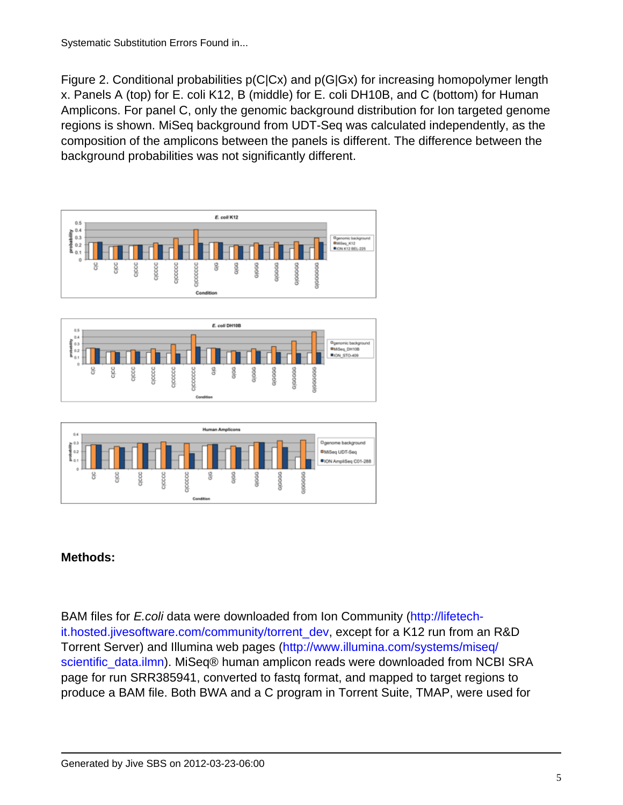Figure 2. Conditional probabilities  $p(C|Cx)$  and  $p(G|Gx)$  for increasing homopolymer length x. Panels A (top) for E. coli K12, B (middle) for E. coli DH10B, and C (bottom) for Human Amplicons. For panel C, only the genomic background distribution for Ion targeted genome regions is shown. MiSeq background from UDT-Seq was calculated independently, as the composition of the amplicons between the panels is different. The difference between the background probabilities was not significantly different.







# **Methods:**

BAM files for E.coli data were downloaded from Ion Community [\(http://lifetech](http://lifetech-it.hosted.jivesoftware.com/community/torrent_dev)[it.hosted.jivesoftware.com/community/torrent\\_dev](http://lifetech-it.hosted.jivesoftware.com/community/torrent_dev), except for a K12 run from an R&D Torrent Server) and Illumina web pages [\(http://www.illumina.com/systems/miseq/](http://www.illumina.com/systems/miseq/scientific_data.ilmn) [scientific\\_data.ilmn](http://www.illumina.com/systems/miseq/scientific_data.ilmn)). MiSeq® human amplicon reads were downloaded from NCBI SRA page for run SRR385941, converted to fastq format, and mapped to target regions to produce a BAM file. Both BWA and a C program in Torrent Suite, TMAP, were used for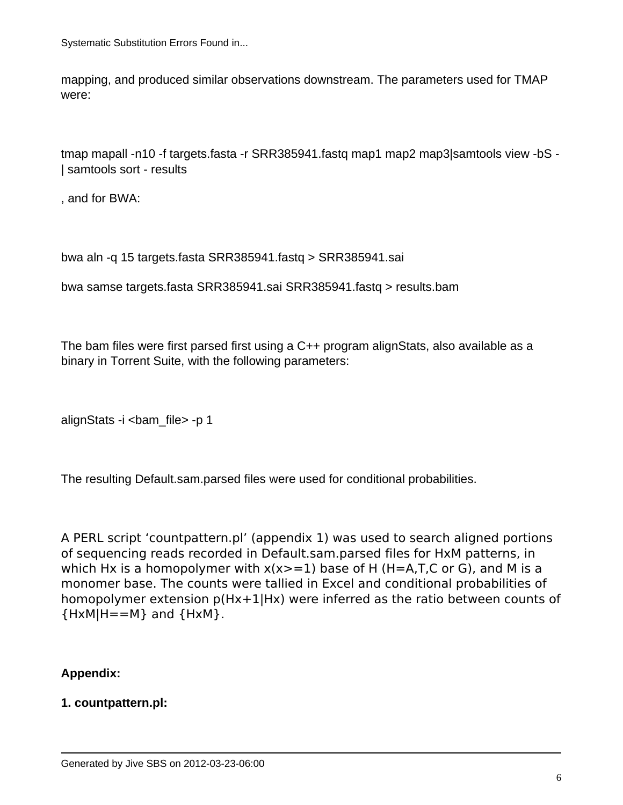mapping, and produced similar observations downstream. The parameters used for TMAP were:

tmap mapall -n10 -f targets.fasta -r SRR385941.fastq map1 map2 map3|samtools view -bS - | samtools sort - results

, and for BWA:

bwa aln -q 15 targets.fasta SRR385941.fastq > SRR385941.sai

bwa samse targets.fasta SRR385941.sai SRR385941.fastq > results.bam

The bam files were first parsed first using a C++ program alignStats, also available as a binary in Torrent Suite, with the following parameters:

alignStats -i <br/> <br/>bam file> -p 1

The resulting Default.sam.parsed files were used for conditional probabilities.

A PERL script 'countpattern.pl' (appendix 1) was used to search aligned portions of sequencing reads recorded in Default.sam.parsed files for HxM patterns, in which Hx is a homopolymer with  $x(x)=1$ ) base of H (H=A,T,C or G), and M is a monomer base. The counts were tallied in Excel and conditional probabilities of homopolymer extension p(Hx+1|Hx) were inferred as the ratio between counts of  ${HxM|H=-M}$  and  ${HxM}$ .

# **Appendix:**

# **1. countpattern.pl:**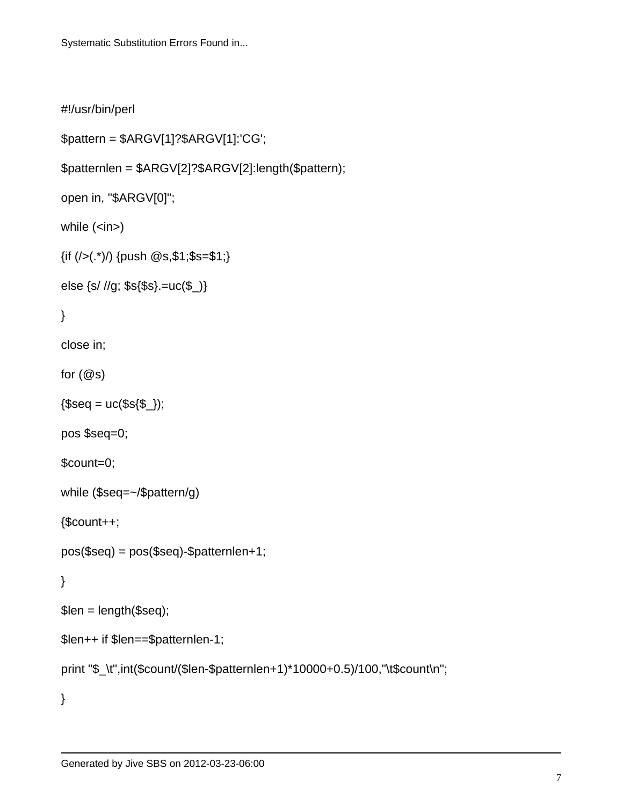```
#!/usr/bin/perl
```

```
$pattern = $ARGV[1]?$ARGV[1]:'CG';
```

```
$patternlen = $ARGV[2]?$ARGV[2]:length($pattern);
```

```
open in, "$ARGV[0]";
```
while  $(*in*)$ 

```
\{if (/-(.*)/) \{push @ s, $1;$s=$1;\}
```

```
else {s/ //g; $s{$s}.=uc($_)}
```
# }

close in;

```
for (@s)
```

```
\{\$seq = uc(\$s(\$_])\};
```
pos \$seq=0;

\$count=0;

```
while ($seq=~/$pattern/g)
```
{\$count++;

```
pos($seq) = pos($seq)-$patternlen+1;
```

```
}
```

```
$len = length($seq);
```

```
$len++ if $len==$patternlen-1;
```

```
print "$_\t",int($count/($len-$patternlen+1)*10000+0.5)/100,"\t$count\n";
```

```
}
```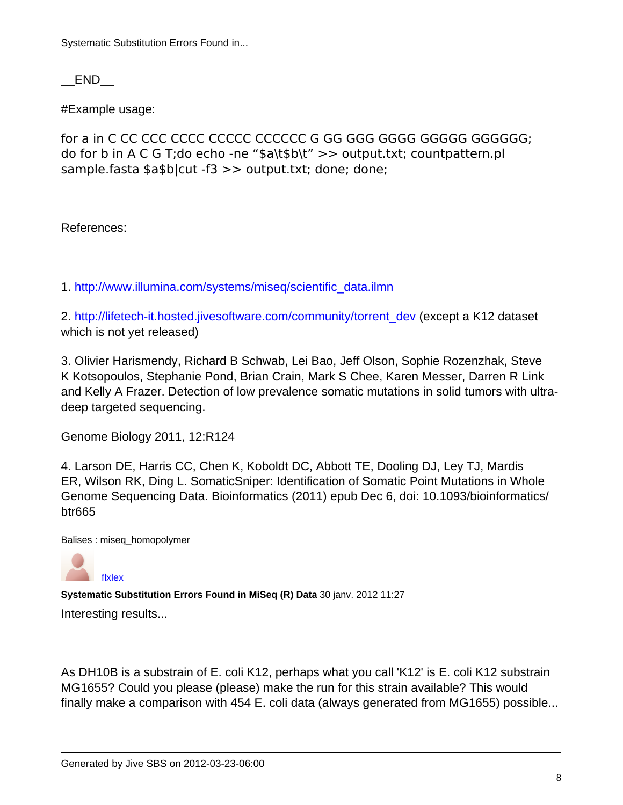$END$ 

#Example usage:

for a in C CC CCC CCCC CCCCC CCCCCC G GG GGG GGGG GGGGG GGGGGG; do for b in A C G T;do echo -ne "\$a\t\$b\t" >> output.txt; countpattern.pl sample.fasta \$a\$b|cut -f3 >> output.txt; done; done;

References:

1. [http://www.illumina.com/systems/miseq/scientific\\_data.ilmn](http://www.illumina.com/systems/miseq/scientific_data.ilmn)

2. [http://lifetech-it.hosted.jivesoftware.com/community/torrent\\_dev](http://lifetech-it.hosted.jivesoftware.com/community/torrent_dev) (except a K12 dataset which is not yet released)

3. Olivier Harismendy, Richard B Schwab, Lei Bao, Jeff Olson, Sophie Rozenzhak, Steve K Kotsopoulos, Stephanie Pond, Brian Crain, Mark S Chee, Karen Messer, Darren R Link and Kelly A Frazer. Detection of low prevalence somatic mutations in solid tumors with ultradeep targeted sequencing.

Genome Biology 2011, 12:R124

4. Larson DE, Harris CC, Chen K, Koboldt DC, Abbott TE, Dooling DJ, Ley TJ, Mardis ER, Wilson RK, Ding L. SomaticSniper: Identification of Somatic Point Mutations in Whole Genome Sequencing Data. Bioinformatics (2011) epub Dec 6, doi: 10.1093/bioinformatics/ btr665

Balises : miseq\_homopolymer



**Systematic Substitution Errors Found in MiSeq (R) Data** 30 janv. 2012 11:27 Interesting results...

As DH10B is a substrain of E. coli K12, perhaps what you call 'K12' is E. coli K12 substrain MG1655? Could you please (please) make the run for this strain available? This would finally make a comparison with 454 E. coli data (always generated from MG1655) possible...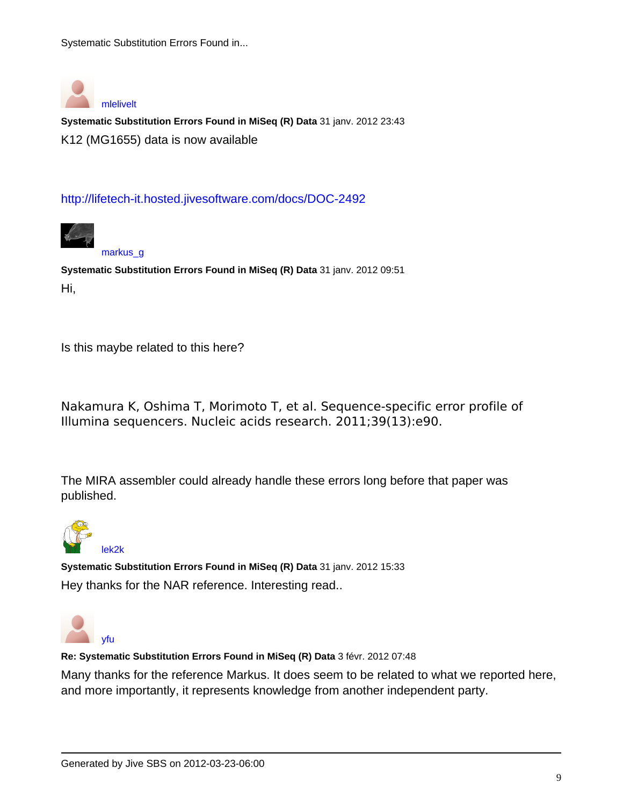

**Systematic Substitution Errors Found in MiSeq (R) Data** 31 janv. 2012 23:43 K12 (MG1655) data is now available

<http://lifetech-it.hosted.jivesoftware.com/docs/DOC-2492>



[markus\\_g](http://ioncommunity.iontorrent.com/people/markus_g)

**Systematic Substitution Errors Found in MiSeq (R) Data** 31 janv. 2012 09:51 Hi,

Is this maybe related to this here?

Nakamura K, Oshima T, Morimoto T, et al. Sequence-specific error profile of Illumina sequencers. Nucleic acids research. 2011;39(13):e90.

The MIRA assembler could already handle these errors long before that paper was published.



**Systematic Substitution Errors Found in MiSeq (R) Data** 31 janv. 2012 15:33 Hey thanks for the NAR reference. Interesting read..



**Re: Systematic Substitution Errors Found in MiSeq (R) Data** 3 févr. 2012 07:48

Many thanks for the reference Markus. It does seem to be related to what we reported here, and more importantly, it represents knowledge from another independent party.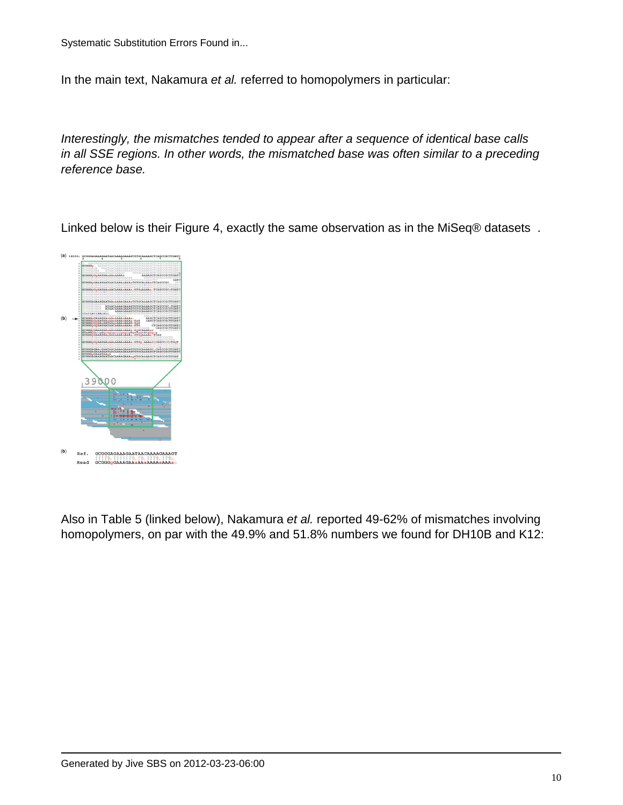In the main text, Nakamura et al. referred to homopolymers in particular:

Interestingly, the mismatches tended to appear after a sequence of identical base calls in all SSE regions. In other words, the mismatched base was often similar to a preceding reference base.

Linked below is their Figure 4, exactly the same observation as in the MiSeq® datasets.



Also in Table 5 (linked below), Nakamura et al. reported 49-62% of mismatches involving homopolymers, on par with the 49.9% and 51.8% numbers we found for DH10B and K12: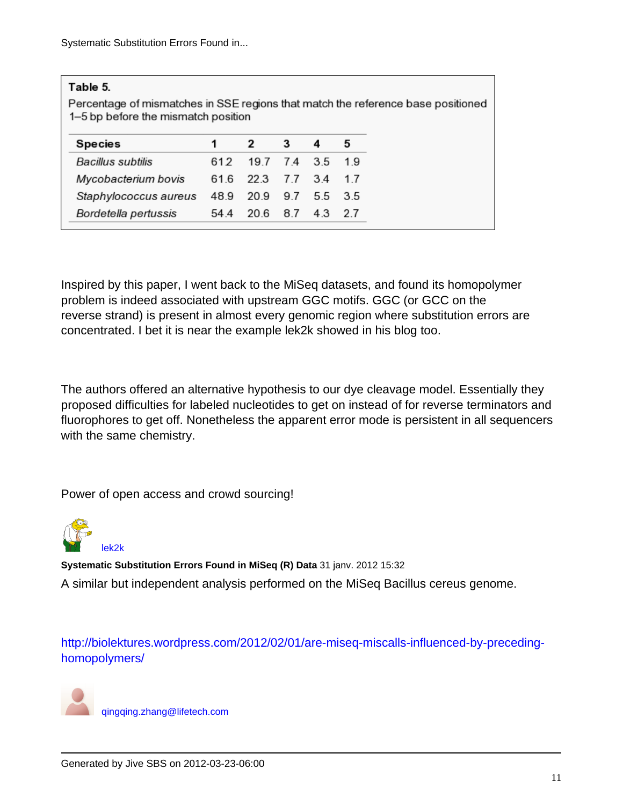| Table 5.<br>Percentage of mismatches in SSE regions that match the reference base positioned<br>1-5 bp before the mismatch position |      |              |                |                  |         |
|-------------------------------------------------------------------------------------------------------------------------------------|------|--------------|----------------|------------------|---------|
| <b>Species</b>                                                                                                                      |      | 2            | 3 <sup>5</sup> | 4                | - 5     |
| Bacillus subtilis                                                                                                                   | 612  |              |                | 19.7 7.4 3.5 1.9 |         |
| Mycobacterium bovis                                                                                                                 | 61.6 | 22.3 7.7 3.4 |                |                  | 17      |
| Staphylococcus aureus                                                                                                               | 48.9 | 20.9         | 9.7            |                  | 5.5 3.5 |
| Bordetella pertussis                                                                                                                | 544  | 20.6         | 8.7            | 4.3 2.7          |         |

Inspired by this paper, I went back to the MiSeq datasets, and found its homopolymer problem is indeed associated with upstream GGC motifs. GGC (or GCC on the reverse strand) is present in almost every genomic region where substitution errors are concentrated. I bet it is near the example lek2k showed in his blog too.

The authors offered an alternative hypothesis to our dye cleavage model. Essentially they proposed difficulties for labeled nucleotides to get on instead of for reverse terminators and fluorophores to get off. Nonetheless the apparent error mode is persistent in all sequencers with the same chemistry.

Power of open access and crowd sourcing!



**Systematic Substitution Errors Found in MiSeq (R) Data** 31 janv. 2012 15:32 A similar but independent analysis performed on the MiSeq Bacillus cereus genome.

[http://biolektures.wordpress.com/2012/02/01/are-miseq-miscalls-influenced-by-preceding](http://biolektures.wordpress.com/2012/02/01/are-miseq-miscalls-influenced-by-preceding-homopolymers/)[homopolymers/](http://biolektures.wordpress.com/2012/02/01/are-miseq-miscalls-influenced-by-preceding-homopolymers/)

[qingqing.zhang@lifetech.com](http://ioncommunity.iontorrent.com/people/qingqing.zhang%40lifetech.com)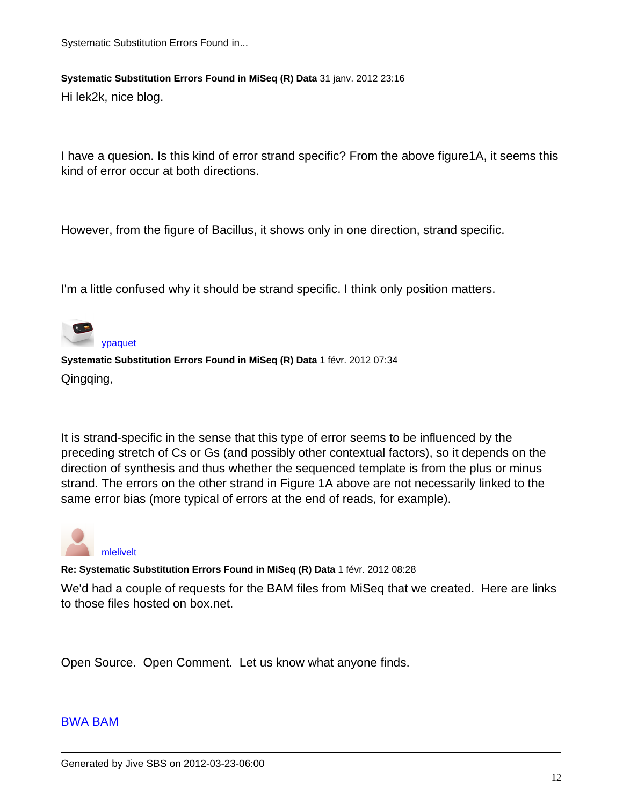**Systematic Substitution Errors Found in MiSeq (R) Data** 31 janv. 2012 23:16

Hi lek2k, nice blog.

I have a quesion. Is this kind of error strand specific? From the above figure1A, it seems this kind of error occur at both directions.

However, from the figure of Bacillus, it shows only in one direction, strand specific.

I'm a little confused why it should be strand specific. I think only position matters.



**Systematic Substitution Errors Found in MiSeq (R) Data** 1 févr. 2012 07:34 Qingqing,

It is strand-specific in the sense that this type of error seems to be influenced by the preceding stretch of Cs or Gs (and possibly other contextual factors), so it depends on the direction of synthesis and thus whether the sequenced template is from the plus or minus strand. The errors on the other strand in Figure 1A above are not necessarily linked to the same error bias (more typical of errors at the end of reads, for example).



**Re: Systematic Substitution Errors Found in MiSeq (R) Data** 1 févr. 2012 08:28

We'd had a couple of requests for the BAM files from MiSeq that we created. Here are links to those files hosted on box.net.

Open Source. Open Comment. Let us know what anyone finds.

# [BWA BAM](https://iontorrent.box.com/s/5j63pt6l6v6a1crzxbvq)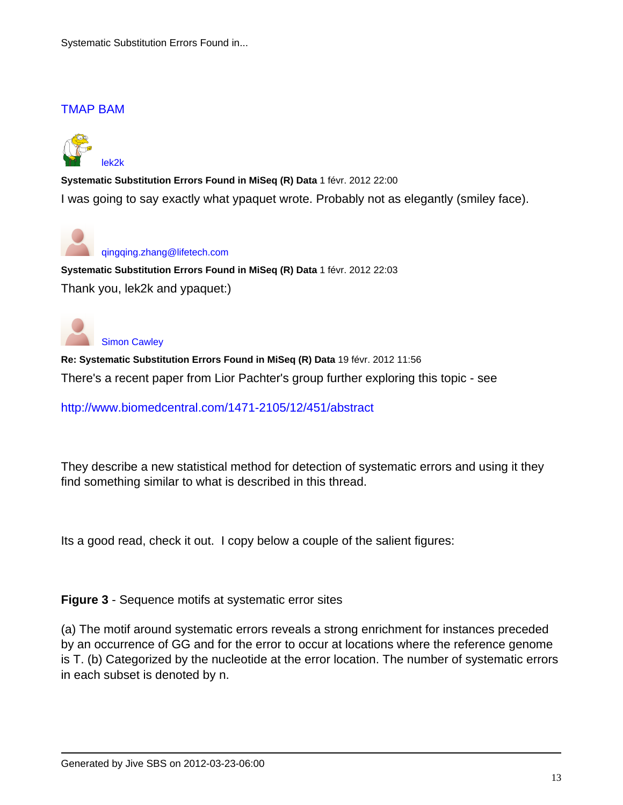#### [TMAP BAM](https://iontorrent.box.com/s/0clcecush3uxea9ryr4c)



**Systematic Substitution Errors Found in MiSeq (R) Data** 1 févr. 2012 22:00 I was going to say exactly what ypaquet wrote. Probably not as elegantly (smiley face).

[qingqing.zhang@lifetech.com](http://ioncommunity.iontorrent.com/people/qingqing.zhang%40lifetech.com) **Systematic Substitution Errors Found in MiSeq (R) Data** 1 févr. 2012 22:03 Thank you, lek2k and ypaquet:)



**Re: Systematic Substitution Errors Found in MiSeq (R) Data** 19 févr. 2012 11:56 There's a recent paper from Lior Pachter's group further exploring this topic - see

<http://www.biomedcentral.com/1471-2105/12/451/abstract>

They describe a new statistical method for detection of systematic errors and using it they find something similar to what is described in this thread.

Its a good read, check it out. I copy below a couple of the salient figures:

**Figure 3** - Sequence motifs at systematic error sites

(a) The motif around systematic errors reveals a strong enrichment for instances preceded by an occurrence of GG and for the error to occur at locations where the reference genome is T. (b) Categorized by the nucleotide at the error location. The number of systematic errors in each subset is denoted by n.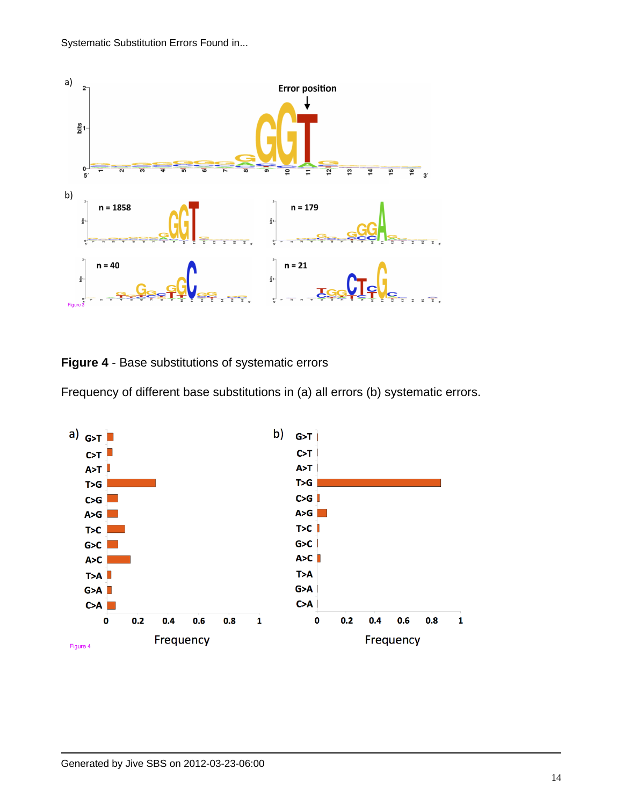

**Figure 4** - Base substitutions of systematic errors

Frequency of different base substitutions in (a) all errors (b) systematic errors.